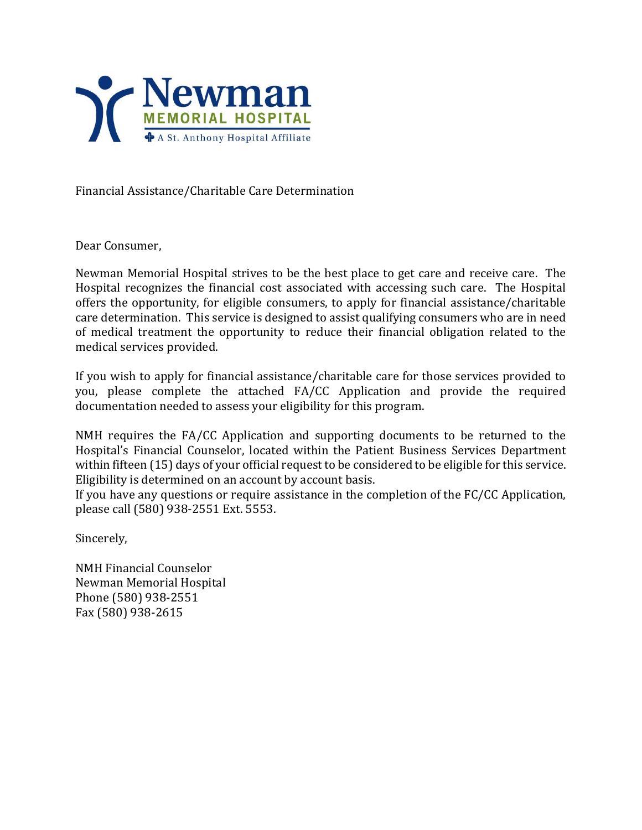

Financial Assistance/Charitable Care Determination

Dear Consumer,

Newman Memorial Hospital strives to be the best place to get care and receive care. The Hospital recognizes the financial cost associated with accessing such care. The Hospital offers the opportunity, for eligible consumers, to apply for financial assistance/charitable care determination. This service is designed to assist qualifying consumers who are in need of medical treatment the opportunity to reduce their financial obligation related to the medical services provided.

If you wish to apply for financial assistance/charitable care for those services provided to you, please complete the attached FA/CC Application and provide the required documentation needed to assess your eligibility for this program.

NMH requires the FA/CC Application and supporting documents to be returned to the Hospital's Financial Counselor, located within the Patient Business Services Department within fifteen (15) days of your official request to be considered to be eligible for this service. Eligibility is determined on an account by account basis.

If you have any questions or require assistance in the completion of the FC/CC Application, please call (580) 938-2551 Ext. 5553.

Sincerely,

NMH Financial Counselor Newman Memorial Hospital Phone (580) 938-2551 Fax (580) 938-2615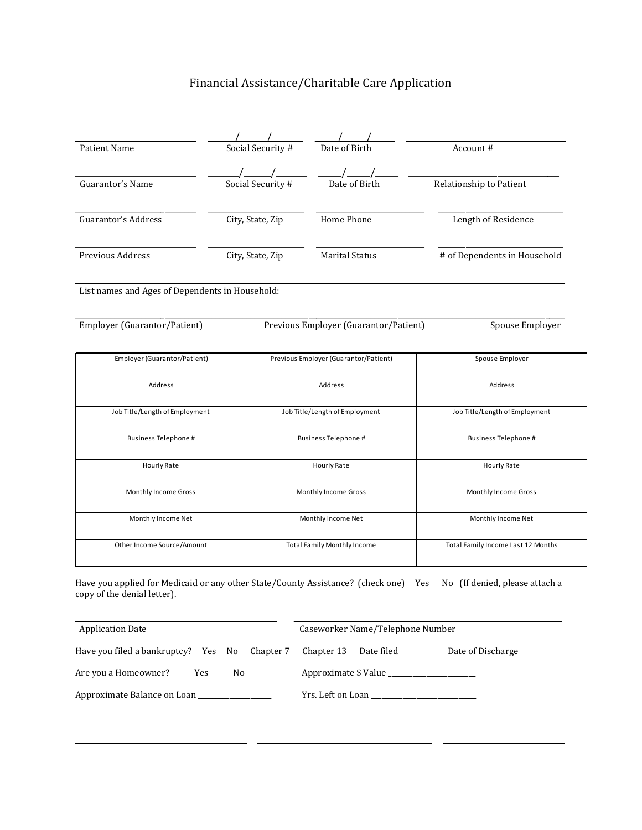# Financial Assistance/Charitable Care Application

| <b>Patient Name</b>                                                                                                |  | Social Security #  | Date of Birth                         | Account#                                      |  |
|--------------------------------------------------------------------------------------------------------------------|--|--------------------|---------------------------------------|-----------------------------------------------|--|
|                                                                                                                    |  |                    |                                       |                                               |  |
| Guarantor's Name                                                                                                   |  | Social Security #  | Date of Birth                         | Relationship to Patient                       |  |
| Guarantor's Address                                                                                                |  | City, State, Zip   | Home Phone                            | Length of Residence                           |  |
| Previous Address                                                                                                   |  | City, State, Zip   | <b>Marital Status</b>                 | # of Dependents in Household                  |  |
| List names and Ages of Dependents in Household:                                                                    |  |                    |                                       |                                               |  |
| Employer (Guarantor/Patient)                                                                                       |  |                    | Previous Employer (Guarantor/Patient) | Spouse Employer                               |  |
| Employer (Guarantor/Patient)                                                                                       |  |                    | Previous Employer (Guarantor/Patient) | Spouse Employer                               |  |
| Address                                                                                                            |  |                    | Address                               | Address                                       |  |
| Job Title/Length of Employment                                                                                     |  |                    | Job Title/Length of Employment        | Job Title/Length of Employment                |  |
| <b>Business Telephone #</b>                                                                                        |  |                    | Business Telephone #                  | Business Telephone #                          |  |
| Hourly Rate                                                                                                        |  |                    | Hourly Rate                           | Hourly Rate                                   |  |
| Monthly Income Gross                                                                                               |  |                    | Monthly Income Gross                  | Monthly Income Gross                          |  |
| Monthly Income Net                                                                                                 |  | Monthly Income Net |                                       | Monthly Income Net                            |  |
| Other Income Source/Amount                                                                                         |  |                    | <b>Total Family Monthly Income</b>    | Total Family Income Last 12 Months            |  |
| Have you applied for Medicaid or any other State/County Assistance? (check one) Yes<br>copy of the denial letter). |  |                    |                                       | No (If denied, please attach a                |  |
| <b>Application Date</b>                                                                                            |  |                    | Caseworker Name/Telephone Number      |                                               |  |
| Have you filed a bankruptcy? Yes No                                                                                |  | Chapter 7          | Chapter 13                            | Date filed ________________ Date of Discharge |  |

Are you a Homeowner? Yes No Approximate \$ Value \_\_\_\_\_\_\_\_\_\_\_\_\_\_\_\_\_\_\_\_\_\_\_\_\_\_\_\_\_\_\_\_

Approximate Balance on Loan \_\_\_\_\_\_\_\_\_\_\_\_\_\_\_\_\_\_\_\_\_ Yrs. Left on Loan \_\_\_\_\_\_\_\_\_\_\_\_\_\_\_\_\_\_\_\_\_\_\_\_\_\_\_\_\_\_

| 'rs. Left on Loan |  |
|-------------------|--|

\_\_\_\_\_\_\_\_\_\_\_\_\_\_\_\_\_\_\_\_\_\_\_\_\_\_\_\_\_\_\_\_\_\_\_\_\_\_\_\_\_\_\_\_\_\_\_\_\_ \_\_\_\_\_\_\_\_\_\_\_\_\_\_\_\_\_\_\_\_\_\_\_\_\_\_\_\_\_\_\_\_\_\_\_\_\_\_\_\_\_\_\_\_\_\_\_\_\_\_ \_\_\_\_\_\_\_\_\_\_\_\_\_\_\_\_\_\_\_\_\_\_\_\_\_\_\_\_\_\_\_\_\_\_\_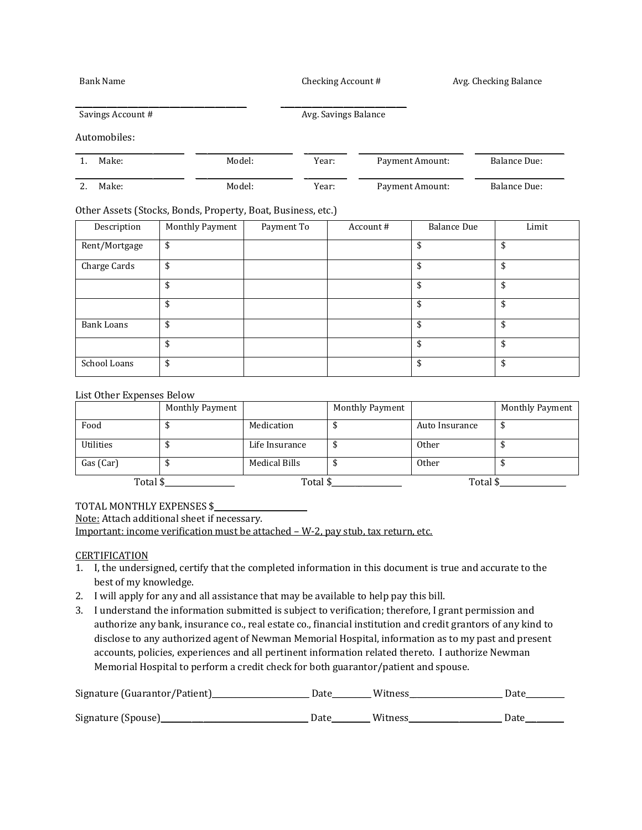Bank Name Checking Account # Avg. Checking Balance

Savings Account # Avg. Savings Balance

#### Automobiles:

| Make: | Model: |       | Payment Amount: | Balance Due: |  |
|-------|--------|-------|-----------------|--------------|--|
| Make: | Model: | Year: | Payment Amount: | Balance Due: |  |

#### Other Assets (Stocks, Bonds, Property, Boat, Business, etc.)

\_\_\_\_\_\_\_\_\_\_\_\_\_\_\_\_\_\_\_\_\_\_\_\_\_\_\_\_\_\_\_\_\_\_\_\_\_\_\_\_\_\_\_\_\_\_\_\_\_ \_\_\_\_\_\_\_\_\_\_\_\_\_\_\_\_\_\_\_\_\_\_\_\_\_\_\_\_\_\_\_\_\_\_\_\_

| Description       | Monthly Payment | Payment To | Account # | <b>Balance Due</b> | Limit |
|-------------------|-----------------|------------|-----------|--------------------|-------|
| Rent/Mortgage     | \$              |            |           |                    | \$    |
| Charge Cards      | \$              |            |           | \$                 | \$    |
|                   | \$              |            |           | \$                 | \$    |
|                   | \$              |            |           |                    | \$    |
| <b>Bank Loans</b> | \$              |            |           |                    | \$    |
|                   | \$              |            |           | \$                 | \$    |
| School Loans      | \$              |            |           | \$                 | \$    |

#### List Other Expenses Below

|                  | Monthly Payment |                | Monthly Payment |                | <b>Monthly Payment</b> |
|------------------|-----------------|----------------|-----------------|----------------|------------------------|
| Food             |                 | Medication     |                 | Auto Insurance |                        |
| <b>Utilities</b> |                 | Life Insurance |                 | <b>Other</b>   |                        |
| Gas (Car)        |                 | Medical Bills  |                 | <b>Other</b>   |                        |
| Total \$         |                 | Total \$       |                 | Total \$       |                        |

TOTAL MONTHLY EXPENSES \$

Note: Attach additional sheet if necessary.

Important: income verification must be attached – W-2, pay stub, tax return, etc.

#### **CERTIFICATION**

- 1. I, the undersigned, certify that the completed information in this document is true and accurate to the best of my knowledge.
- 2. I will apply for any and all assistance that may be available to help pay this bill.
- 3. I understand the information submitted is subject to verification; therefore, I grant permission and authorize any bank, insurance co., real estate co., financial institution and credit grantors of any kind to disclose to any authorized agent of Newman Memorial Hospital, information as to my past and present accounts, policies, experiences and all pertinent information related thereto. I authorize Newman Memorial Hospital to perform a credit check for both guarantor/patient and spouse.

| Signature (Guarantor/Patient) | Date | Witness | Date |
|-------------------------------|------|---------|------|
| Signature (Spouse)_           | Date | Witness | Date |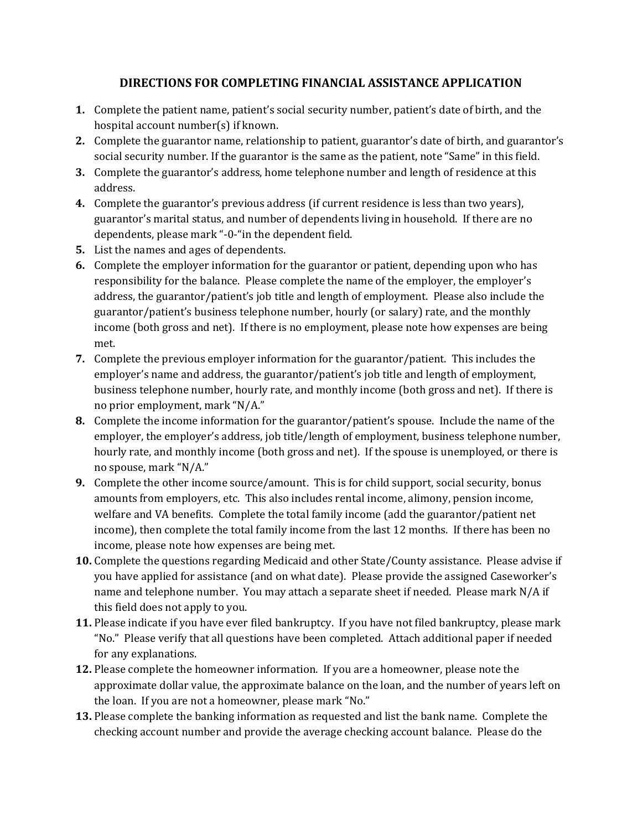# **DIRECTIONS FOR COMPLETING FINANCIAL ASSISTANCE APPLICATION**

- **1.** Complete the patient name, patient's social security number, patient's date of birth, and the hospital account number(s) if known.
- **2.** Complete the guarantor name, relationship to patient, guarantor's date of birth, and guarantor's social security number. If the guarantor is the same as the patient, note "Same" in this field.
- **3.** Complete the guarantor's address, home telephone number and length of residence at this address.
- **4.** Complete the guarantor's previous address (if current residence is less than two years), guarantor's marital status, and number of dependents living in household. If there are no dependents, please mark "-0-"in the dependent field.
- **5.** List the names and ages of dependents.
- **6.** Complete the employer information for the guarantor or patient, depending upon who has responsibility for the balance. Please complete the name of the employer, the employer's address, the guarantor/patient's job title and length of employment. Please also include the guarantor/patient's business telephone number, hourly (or salary) rate, and the monthly income (both gross and net). If there is no employment, please note how expenses are being met.
- **7.** Complete the previous employer information for the guarantor/patient. This includes the employer's name and address, the guarantor/patient's job title and length of employment, business telephone number, hourly rate, and monthly income (both gross and net). If there is no prior employment, mark "N/A."
- **8.** Complete the income information for the guarantor/patient's spouse. Include the name of the employer, the employer's address, job title/length of employment, business telephone number, hourly rate, and monthly income (both gross and net). If the spouse is unemployed, or there is no spouse, mark "N/A."
- **9.** Complete the other income source/amount. This is for child support, social security, bonus amounts from employers, etc. This also includes rental income, alimony, pension income, welfare and VA benefits. Complete the total family income (add the guarantor/patient net income), then complete the total family income from the last 12 months. If there has been no income, please note how expenses are being met.
- **10.** Complete the questions regarding Medicaid and other State/County assistance. Please advise if you have applied for assistance (and on what date). Please provide the assigned Caseworker's name and telephone number. You may attach a separate sheet if needed. Please mark N/A if this field does not apply to you.
- **11.** Please indicate if you have ever filed bankruptcy. If you have not filed bankruptcy, please mark "No." Please verify that all questions have been completed. Attach additional paper if needed for any explanations.
- **12.** Please complete the homeowner information. If you are a homeowner, please note the approximate dollar value, the approximate balance on the loan, and the number of years left on the loan. If you are not a homeowner, please mark "No."
- **13.** Please complete the banking information as requested and list the bank name. Complete the checking account number and provide the average checking account balance. Please do the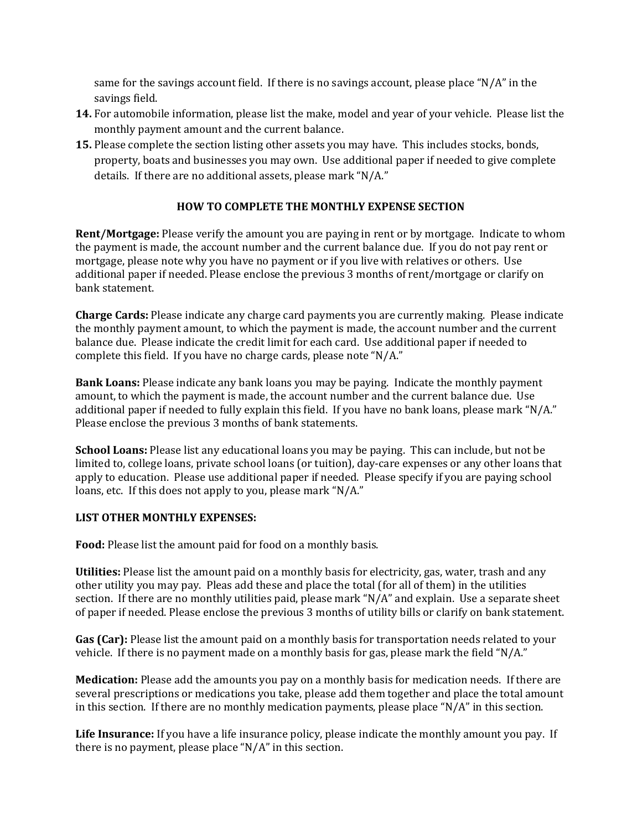same for the savings account field. If there is no savings account, please place "N/A" in the savings field.

- **14.** For automobile information, please list the make, model and year of your vehicle. Please list the monthly payment amount and the current balance.
- **15.** Please complete the section listing other assets you may have. This includes stocks, bonds, property, boats and businesses you may own. Use additional paper if needed to give complete details. If there are no additional assets, please mark "N/A."

## **HOW TO COMPLETE THE MONTHLY EXPENSE SECTION**

**Rent/Mortgage:** Please verify the amount you are paying in rent or by mortgage. Indicate to whom the payment is made, the account number and the current balance due. If you do not pay rent or mortgage, please note why you have no payment or if you live with relatives or others. Use additional paper if needed. Please enclose the previous 3 months of rent/mortgage or clarify on bank statement.

**Charge Cards:** Please indicate any charge card payments you are currently making. Please indicate the monthly payment amount, to which the payment is made, the account number and the current balance due. Please indicate the credit limit for each card. Use additional paper if needed to complete this field. If you have no charge cards, please note "N/A."

**Bank Loans:** Please indicate any bank loans you may be paying. Indicate the monthly payment amount, to which the payment is made, the account number and the current balance due. Use additional paper if needed to fully explain this field. If you have no bank loans, please mark "N/A." Please enclose the previous 3 months of bank statements.

**School Loans:** Please list any educational loans you may be paying. This can include, but not be limited to, college loans, private school loans (or tuition), day-care expenses or any other loans that apply to education. Please use additional paper if needed. Please specify if you are paying school loans, etc. If this does not apply to you, please mark "N/A."

## **LIST OTHER MONTHLY EXPENSES:**

**Food:** Please list the amount paid for food on a monthly basis.

**Utilities:** Please list the amount paid on a monthly basis for electricity, gas, water, trash and any other utility you may pay. Pleas add these and place the total (for all of them) in the utilities section. If there are no monthly utilities paid, please mark "N/A" and explain. Use a separate sheet of paper if needed. Please enclose the previous 3 months of utility bills or clarify on bank statement.

**Gas (Car):** Please list the amount paid on a monthly basis for transportation needs related to your vehicle. If there is no payment made on a monthly basis for gas, please mark the field "N/A."

**Medication:** Please add the amounts you pay on a monthly basis for medication needs. If there are several prescriptions or medications you take, please add them together and place the total amount in this section. If there are no monthly medication payments, please place "N/A" in this section.

**Life Insurance:** If you have a life insurance policy, please indicate the monthly amount you pay. If there is no payment, please place "N/A" in this section.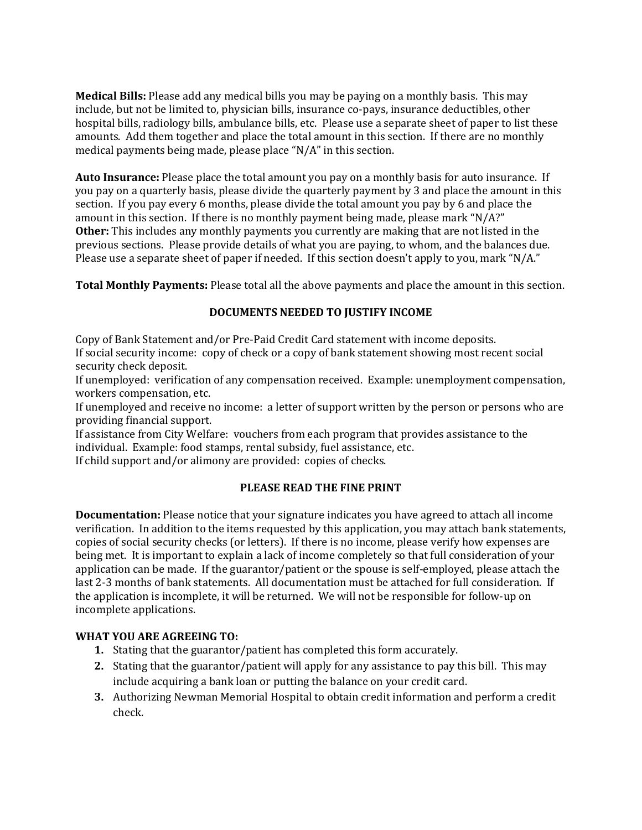**Medical Bills:** Please add any medical bills you may be paying on a monthly basis. This may include, but not be limited to, physician bills, insurance co-pays, insurance deductibles, other hospital bills, radiology bills, ambulance bills, etc. Please use a separate sheet of paper to list these amounts. Add them together and place the total amount in this section. If there are no monthly medical payments being made, please place "N/A" in this section.

**Auto Insurance:** Please place the total amount you pay on a monthly basis for auto insurance. If you pay on a quarterly basis, please divide the quarterly payment by 3 and place the amount in this section. If you pay every 6 months, please divide the total amount you pay by 6 and place the amount in this section. If there is no monthly payment being made, please mark "N/A?" **Other:** This includes any monthly payments you currently are making that are not listed in the previous sections. Please provide details of what you are paying, to whom, and the balances due. Please use a separate sheet of paper if needed. If this section doesn't apply to you, mark "N/A."

**Total Monthly Payments:** Please total all the above payments and place the amount in this section.

## **DOCUMENTS NEEDED TO JUSTIFY INCOME**

Copy of Bank Statement and/or Pre-Paid Credit Card statement with income deposits. If social security income: copy of check or a copy of bank statement showing most recent social security check deposit.

If unemployed: verification of any compensation received. Example: unemployment compensation, workers compensation, etc.

If unemployed and receive no income: a letter of support written by the person or persons who are providing financial support.

If assistance from City Welfare: vouchers from each program that provides assistance to the individual. Example: food stamps, rental subsidy, fuel assistance, etc.

If child support and/or alimony are provided: copies of checks.

## **PLEASE READ THE FINE PRINT**

**Documentation:** Please notice that your signature indicates you have agreed to attach all income verification. In addition to the items requested by this application, you may attach bank statements, copies of social security checks (or letters). If there is no income, please verify how expenses are being met. It is important to explain a lack of income completely so that full consideration of your application can be made. If the guarantor/patient or the spouse is self-employed, please attach the last 2-3 months of bank statements. All documentation must be attached for full consideration. If the application is incomplete, it will be returned. We will not be responsible for follow-up on incomplete applications.

## **WHAT YOU ARE AGREEING TO:**

- **1.** Stating that the guarantor/patient has completed this form accurately.
- **2.** Stating that the guarantor/patient will apply for any assistance to pay this bill. This may include acquiring a bank loan or putting the balance on your credit card.
- **3.** Authorizing Newman Memorial Hospital to obtain credit information and perform a credit check.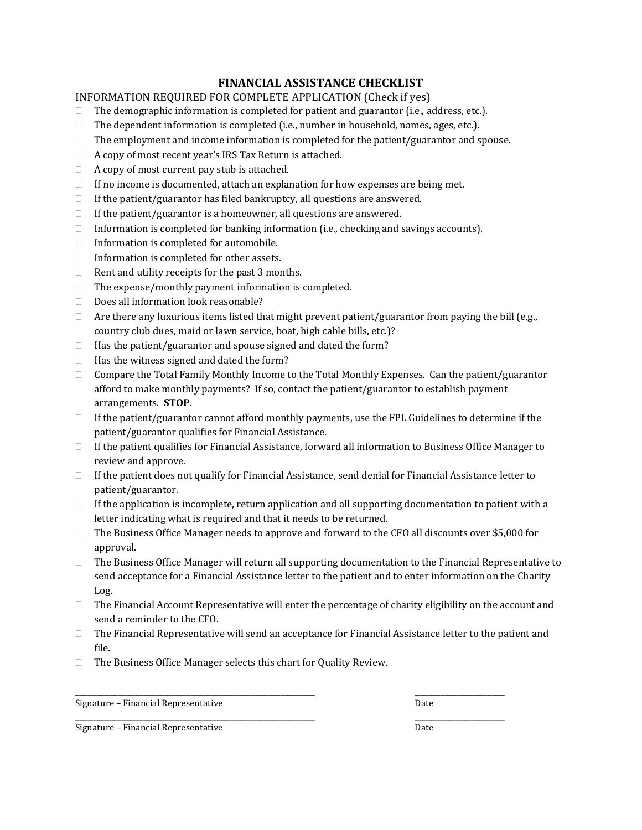## **FINANCIAL ASSISTANCE CHECKLIST**

#### INFORMATION REQUIRED FOR COMPLETE APPLICATION (Check if yes)

- $\Box$  The demographic information is completed for patient and guarantor (i.e., address, etc.).
- $\Box$  The dependent information is completed (i.e., number in household, names, ages, etc.).
- $\Box$  The employment and income information is completed for the patient/guarantor and spouse.
- $\Box$  A copy of most recent year's IRS Tax Return is attached.
- $\Box$  A copy of most current pay stub is attached.
- $\Box$  If no income is documented, attach an explanation for how expenses are being met.
- $\Box$  If the patient/guarantor has filed bankruptcy, all questions are answered.
- $\Box$  If the patient/guarantor is a homeowner, all questions are answered.
- Information is completed for banking information (i.e., checking and savings accounts).
- $\Box$  Information is completed for automobile.
- $\Box$  Information is completed for other assets.
- $\Box$  Rent and utility receipts for the past 3 months.
- $\Box$  The expense/monthly payment information is completed.
- $\Box$  Does all information look reasonable?
- $\Box$  Are there any luxurious items listed that might prevent patient/guarantor from paying the bill (e.g., country club dues, maid or lawn service, boat, high cable bills, etc.)?
- $\Box$  Has the patient/guarantor and spouse signed and dated the form?
- $\Box$  Has the witness signed and dated the form?
- $\Box$  Compare the Total Family Monthly Income to the Total Monthly Expenses. Can the patient/guarantor afford to make monthly payments? If so, contact the patient/guarantor to establish payment arrangements. **STOP**.
- $\Box$  If the patient/guarantor cannot afford monthly payments, use the FPL Guidelines to determine if the patient/guarantor qualifies for Financial Assistance.
- $\Box$  If the patient qualifies for Financial Assistance, forward all information to Business Office Manager to review and approve.
- $\Box$  If the patient does not qualify for Financial Assistance, send denial for Financial Assistance letter to patient/guarantor.
- $\Box$  If the application is incomplete, return application and all supporting documentation to patient with a letter indicating what is required and that it needs to be returned.
- $\Box$  The Business Office Manager needs to approve and forward to the CFO all discounts over \$5,000 for approval.
- The Business Office Manager will return all supporting documentation to the Financial Representative to send acceptance for a Financial Assistance letter to the patient and to enter information on the Charity Log.
- $\Box$  The Financial Account Representative will enter the percentage of charity eligibility on the account and send a reminder to the CFO.
- $\Box$  The Financial Representative will send an acceptance for Financial Assistance letter to the patient and file.

\_\_\_\_\_\_\_\_\_\_\_\_\_\_\_\_\_\_\_\_\_\_\_\_\_\_\_\_\_\_\_\_\_\_\_\_\_\_\_\_\_\_\_\_\_\_\_\_\_\_\_\_\_\_\_\_ \_\_\_\_\_\_\_\_\_\_\_\_\_\_\_\_\_\_\_\_\_

\_\_\_\_\_\_\_\_\_\_\_\_\_\_\_\_\_\_\_\_\_\_\_\_\_\_\_\_\_\_\_\_\_\_\_\_\_\_\_\_\_\_\_\_\_\_\_\_\_\_\_\_\_\_\_\_ \_\_\_\_\_\_\_\_\_\_\_\_\_\_\_\_\_\_\_\_\_

□ The Business Office Manager selects this chart for Quality Review.

Signature – Financial Representative Date Date

Signature – Financial Representative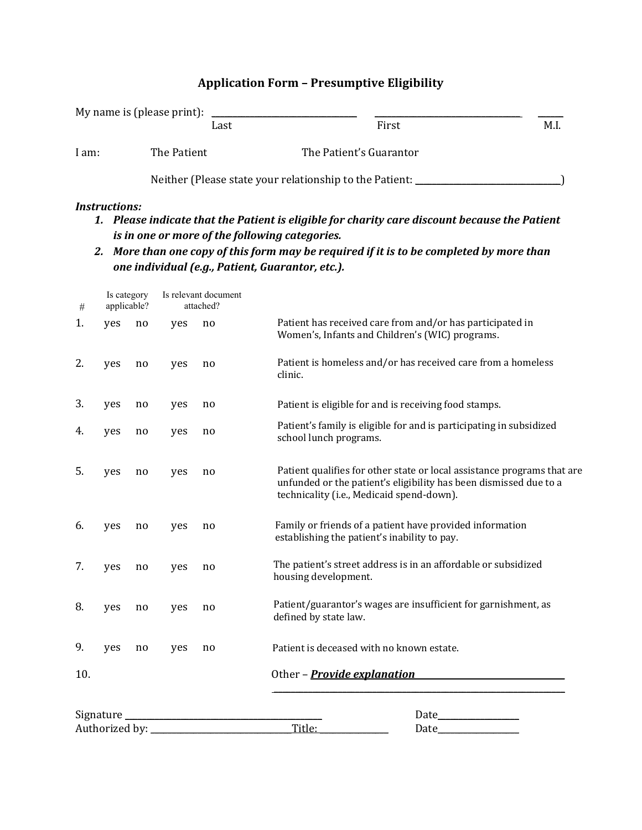# **Application Form – Presumptive Eligibility**

|       | My name is (please print): |                                                         |      |
|-------|----------------------------|---------------------------------------------------------|------|
|       | Last                       | First                                                   | M.I. |
| l am: | The Patient                | The Patient's Guarantor                                 |      |
|       |                            | Neither (Please state your relationship to the Patient: |      |

#### *Instructions:*

- *1. Please indicate that the Patient is eligible for charity care discount because the Patient is in one or more of the following categories.*
- 2. More than one copy of this form may be required if it is to be completed by more than *one individual (e.g., Patient, Guarantor, etc.).*

| #   | Is category<br>applicable? |    |     | Is relevant document<br>attached? |                                                                                                                                                                                           |
|-----|----------------------------|----|-----|-----------------------------------|-------------------------------------------------------------------------------------------------------------------------------------------------------------------------------------------|
| 1.  | yes                        | no | yes | no                                | Patient has received care from and/or has participated in<br>Women's, Infants and Children's (WIC) programs.                                                                              |
| 2.  | yes                        | no | yes | no                                | Patient is homeless and/or has received care from a homeless<br>clinic.                                                                                                                   |
| 3.  | yes                        | no | yes | no                                | Patient is eligible for and is receiving food stamps.                                                                                                                                     |
| 4.  | yes                        | no | yes | no                                | Patient's family is eligible for and is participating in subsidized<br>school lunch programs.                                                                                             |
| 5.  | yes                        | no | yes | no                                | Patient qualifies for other state or local assistance programs that are<br>unfunded or the patient's eligibility has been dismissed due to a<br>technicality (i.e., Medicaid spend-down). |
| 6.  | yes                        | no | yes | no                                | Family or friends of a patient have provided information<br>establishing the patient's inability to pay.                                                                                  |
| 7.  | yes                        | no | yes | no                                | The patient's street address is in an affordable or subsidized<br>housing development.                                                                                                    |
| 8.  | yes                        | no | yes | no                                | Patient/guarantor's wages are insufficient for garnishment, as<br>defined by state law.                                                                                                   |
| 9.  | yes                        | no | yes | no                                | Patient is deceased with no known estate.                                                                                                                                                 |
| 10. |                            |    |     |                                   | Other - <b>Provide explanation</b>                                                                                                                                                        |
|     | Signature                  |    |     |                                   | Date                                                                                                                                                                                      |
|     | Authorized by:             |    |     |                                   | Title:<br>Date                                                                                                                                                                            |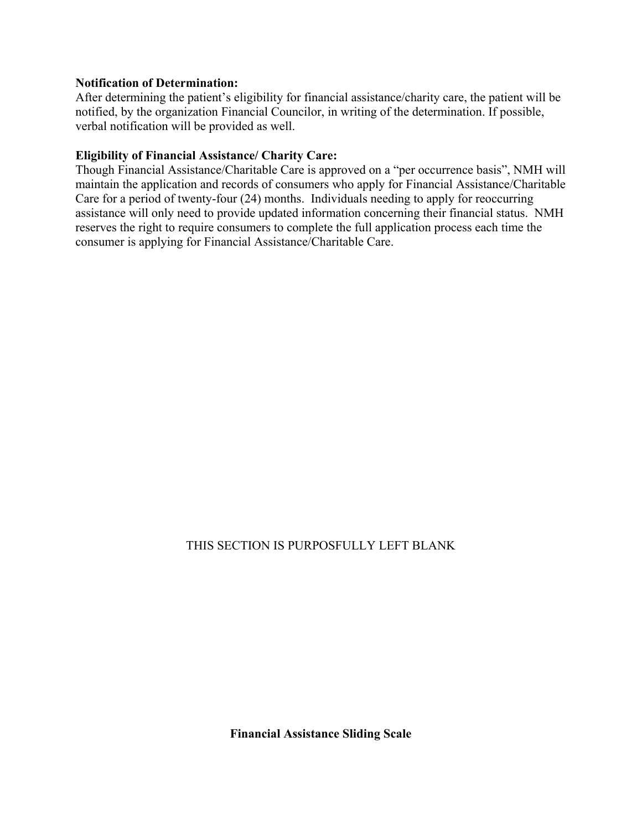## **Notification of Determination:**

After determining the patient's eligibility for financial assistance/charity care, the patient will be notified, by the organization Financial Councilor, in writing of the determination. If possible, verbal notification will be provided as well.

## **Eligibility of Financial Assistance/ Charity Care:**

Though Financial Assistance/Charitable Care is approved on a "per occurrence basis", NMH will maintain the application and records of consumers who apply for Financial Assistance/Charitable Care for a period of twenty-four (24) months. Individuals needing to apply for reoccurring assistance will only need to provide updated information concerning their financial status. NMH reserves the right to require consumers to complete the full application process each time the consumer is applying for Financial Assistance/Charitable Care.

## THIS SECTION IS PURPOSFULLY LEFT BLANK

**Financial Assistance Sliding Scale**